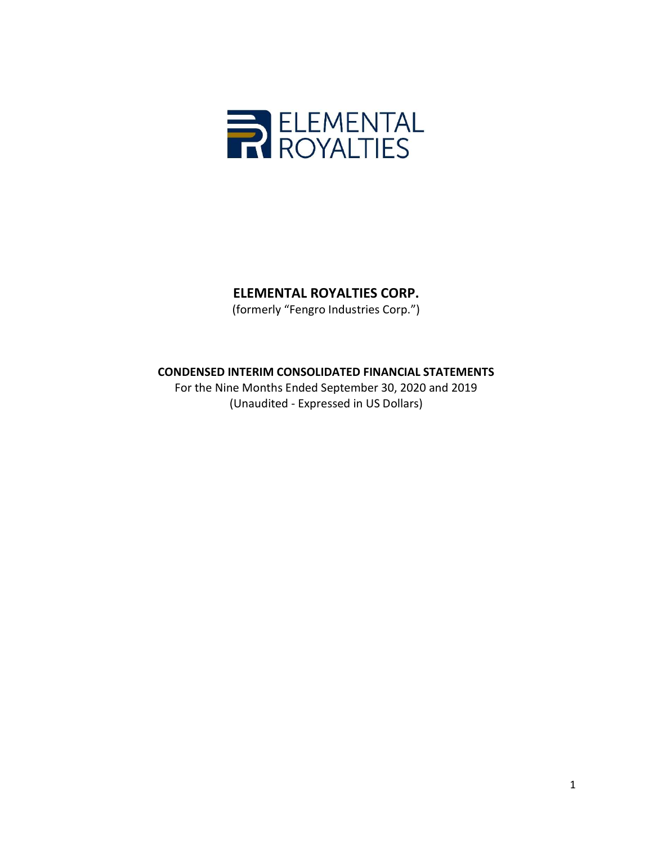

(formerly "Fengro Industries Corp.")

# CONDENSED INTERIM CONSOLIDATED FINANCIAL STATEMENTS

For the Nine Months Ended September 30, 2020 and 2019 (Unaudited - Expressed in US Dollars)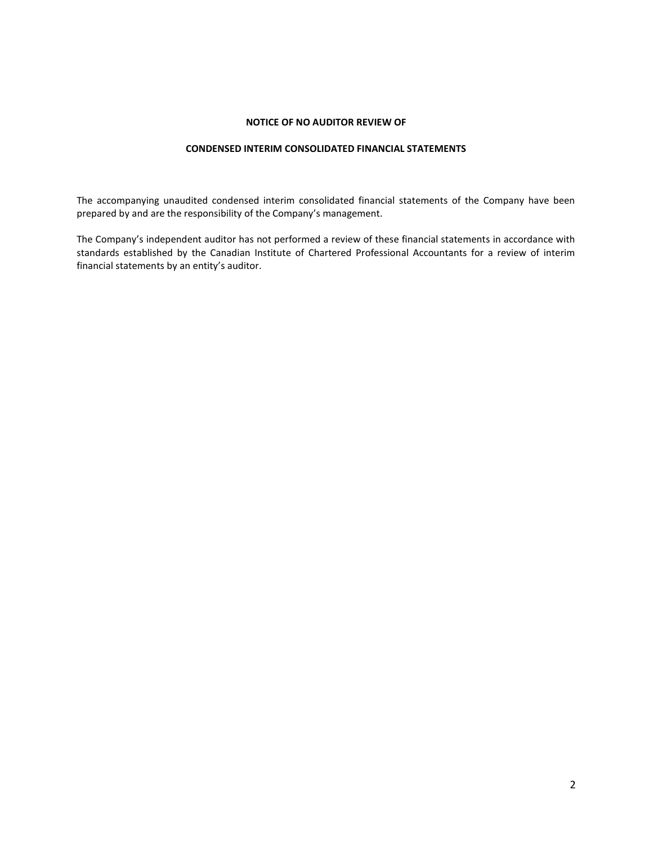## NOTICE OF NO AUDITOR REVIEW OF

## CONDENSED INTERIM CONSOLIDATED FINANCIAL STATEMENTS

The accompanying unaudited condensed interim consolidated financial statements of the Company have been prepared by and are the responsibility of the Company's management.

The Company's independent auditor has not performed a review of these financial statements in accordance with standards established by the Canadian Institute of Chartered Professional Accountants for a review of interim financial statements by an entity's auditor.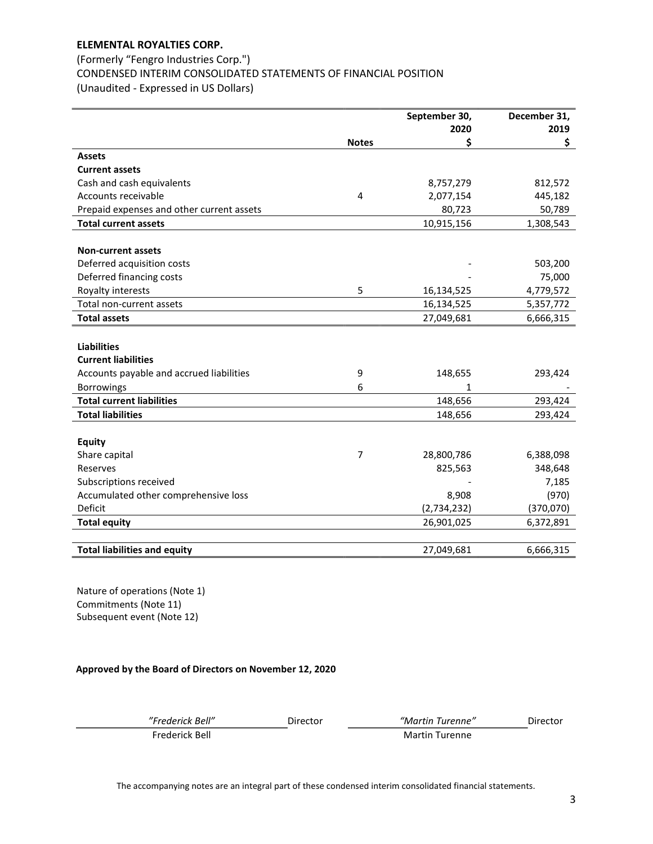## (Formerly "Fengro Industries Corp.") CONDENSED INTERIM CONSOLIDATED STATEMENTS OF FINANCIAL POSITION (Unaudited - Expressed in US Dollars)

|                                           |                | September 30, | December 31, |
|-------------------------------------------|----------------|---------------|--------------|
|                                           | <b>Notes</b>   | 2020<br>\$    | 2019<br>\$   |
| <b>Assets</b>                             |                |               |              |
| <b>Current assets</b>                     |                |               |              |
| Cash and cash equivalents                 |                | 8,757,279     | 812,572      |
| Accounts receivable                       | 4              | 2,077,154     | 445,182      |
| Prepaid expenses and other current assets |                | 80,723        | 50,789       |
| <b>Total current assets</b>               |                | 10,915,156    | 1,308,543    |
|                                           |                |               |              |
| <b>Non-current assets</b>                 |                |               |              |
| Deferred acquisition costs                |                |               | 503,200      |
| Deferred financing costs                  |                |               | 75,000       |
| Royalty interests                         | 5              | 16,134,525    | 4,779,572    |
| Total non-current assets                  |                | 16,134,525    | 5,357,772    |
| <b>Total assets</b>                       |                | 27,049,681    | 6,666,315    |
|                                           |                |               |              |
| <b>Liabilities</b>                        |                |               |              |
| <b>Current liabilities</b>                |                |               |              |
| Accounts payable and accrued liabilities  | 9              | 148,655       | 293,424      |
| <b>Borrowings</b>                         | 6              | 1             |              |
| <b>Total current liabilities</b>          |                | 148,656       | 293,424      |
| <b>Total liabilities</b>                  |                | 148,656       | 293,424      |
|                                           |                |               |              |
| <b>Equity</b>                             |                |               |              |
| Share capital                             | $\overline{7}$ | 28,800,786    | 6,388,098    |
| Reserves                                  |                | 825,563       | 348,648      |
| Subscriptions received                    |                |               | 7,185        |
| Accumulated other comprehensive loss      |                | 8,908         | (970)        |
| Deficit                                   |                | (2,734,232)   | (370, 070)   |
| <b>Total equity</b>                       |                | 26,901,025    | 6,372,891    |
|                                           |                |               |              |
| <b>Total liabilities and equity</b>       |                | 27,049,681    | 6,666,315    |

Nature of operations (Note 1) Commitments (Note 11) Subsequent event (Note 12)

## Approved by the Board of Directors on November 12, 2020

| derick Bell" |  |
|--------------|--|
|              |  |

"Frederick Bell" Director "Martin Turenne" Director

Frederick Bell Martin Turenne

The accompanying notes are an integral part of these condensed interim consolidated financial statements.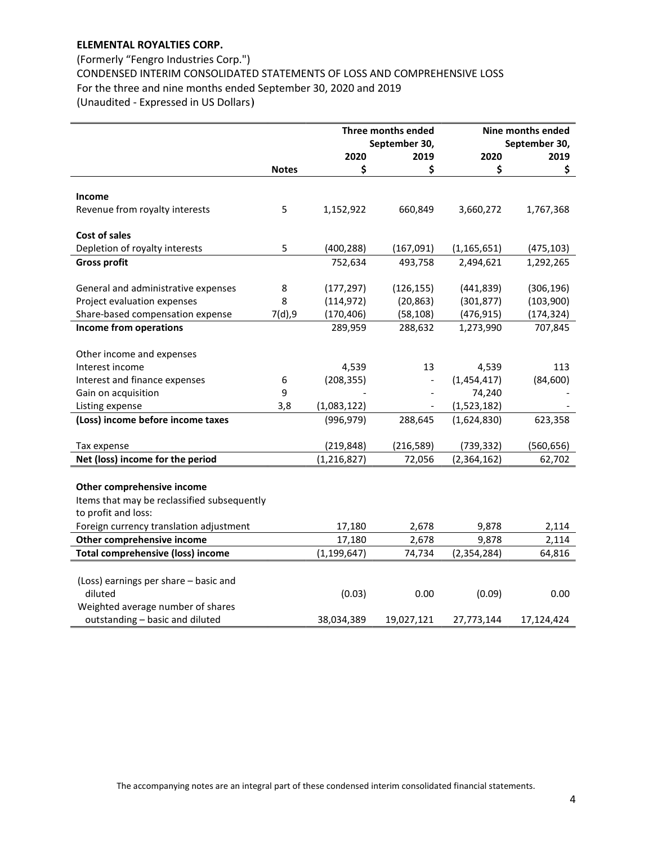## (Formerly "Fengro Industries Corp.") CONDENSED INTERIM CONSOLIDATED STATEMENTS OF LOSS AND COMPREHENSIVE LOSS For the three and nine months ended September 30, 2020 and 2019 (Unaudited - Expressed in US Dollars)

|                                             |              |               | Three months ended       | Nine months ended |               |
|---------------------------------------------|--------------|---------------|--------------------------|-------------------|---------------|
|                                             |              |               | September 30,            |                   | September 30, |
|                                             |              | 2020          | 2019                     | 2020              | 2019          |
|                                             | <b>Notes</b> | \$            | \$                       | \$                | \$            |
| <b>Income</b>                               |              |               |                          |                   |               |
| Revenue from royalty interests              | 5            | 1,152,922     | 660,849                  | 3,660,272         | 1,767,368     |
|                                             |              |               |                          |                   |               |
| Cost of sales                               |              |               |                          |                   |               |
| Depletion of royalty interests              | 5            | (400, 288)    | (167,091)                | (1, 165, 651)     | (475, 103)    |
| <b>Gross profit</b>                         |              | 752,634       | 493,758                  | 2,494,621         | 1,292,265     |
|                                             |              |               |                          |                   |               |
| General and administrative expenses         | 8            | (177, 297)    | (126, 155)               | (441, 839)        | (306, 196)    |
| Project evaluation expenses                 | 8            | (114, 972)    | (20, 863)                | (301, 877)        | (103,900)     |
| Share-based compensation expense            | 7(d), 9      | (170, 406)    | (58, 108)                | (476, 915)        | (174, 324)    |
| Income from operations                      |              | 289,959       | 288,632                  | 1,273,990         | 707,845       |
|                                             |              |               |                          |                   |               |
| Other income and expenses                   |              |               |                          |                   |               |
| Interest income                             |              | 4,539         | 13                       | 4,539             | 113           |
| Interest and finance expenses               | 6            | (208, 355)    | $\overline{\phantom{a}}$ | (1,454,417)       | (84, 600)     |
| Gain on acquisition                         | 9            |               |                          | 74,240            |               |
| Listing expense                             | 3,8          | (1,083,122)   |                          | (1,523,182)       |               |
| (Loss) income before income taxes           |              | (996, 979)    | 288,645                  | (1,624,830)       | 623,358       |
|                                             |              |               |                          |                   |               |
| Tax expense                                 |              | (219, 848)    | (216, 589)               | (739, 332)        | (560, 656)    |
| Net (loss) income for the period            |              | (1, 216, 827) | 72,056                   | (2,364,162)       | 62,702        |
|                                             |              |               |                          |                   |               |
| Other comprehensive income                  |              |               |                          |                   |               |
| Items that may be reclassified subsequently |              |               |                          |                   |               |
| to profit and loss:                         |              |               |                          |                   |               |
| Foreign currency translation adjustment     |              | 17,180        | 2,678                    | 9,878             | 2,114         |
| Other comprehensive income                  |              | 17,180        | 2,678                    | 9,878             | 2,114         |
| <b>Total comprehensive (loss) income</b>    |              | (1, 199, 647) | 74,734                   | (2, 354, 284)     | 64,816        |
|                                             |              |               |                          |                   |               |
| (Loss) earnings per share - basic and       |              |               |                          |                   |               |
| diluted                                     |              | (0.03)        | 0.00                     | (0.09)            | 0.00          |
| Weighted average number of shares           |              |               |                          |                   |               |
| outstanding - basic and diluted             |              | 38,034,389    | 19,027,121               | 27,773,144        | 17,124,424    |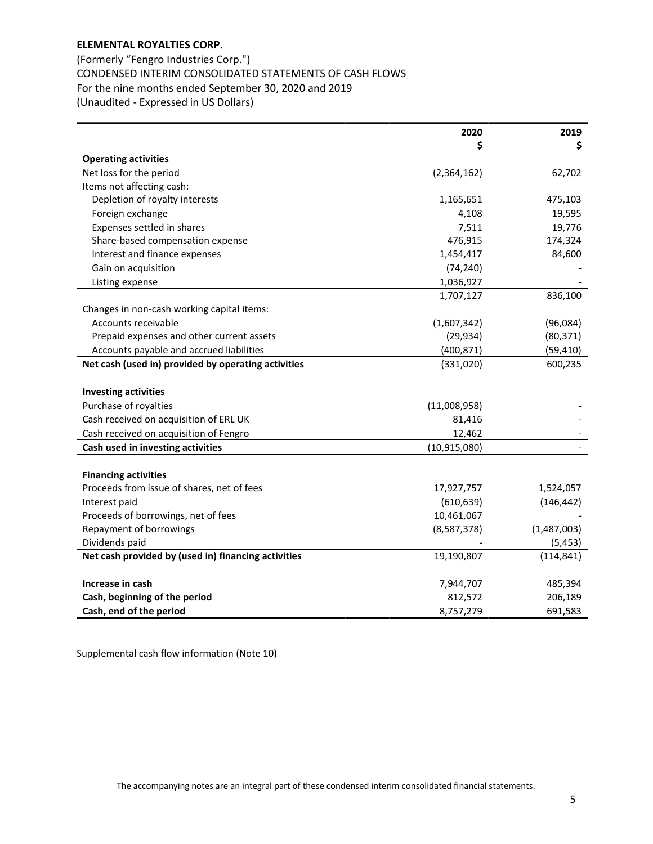(Formerly "Fengro Industries Corp.") CONDENSED INTERIM CONSOLIDATED STATEMENTS OF CASH FLOWS For the nine months ended September 30, 2020 and 2019 (Unaudited - Expressed in US Dollars)

|                                                     | 2020           | 2019        |
|-----------------------------------------------------|----------------|-------------|
|                                                     | S              | \$          |
| <b>Operating activities</b>                         |                |             |
| Net loss for the period                             | (2,364,162)    | 62,702      |
| Items not affecting cash:                           |                |             |
| Depletion of royalty interests                      | 1,165,651      | 475,103     |
| Foreign exchange                                    | 4,108          | 19,595      |
| Expenses settled in shares                          | 7,511          | 19,776      |
| Share-based compensation expense                    | 476,915        | 174,324     |
| Interest and finance expenses                       | 1,454,417      | 84,600      |
| Gain on acquisition                                 | (74, 240)      |             |
| Listing expense                                     | 1,036,927      |             |
|                                                     | 1,707,127      | 836,100     |
| Changes in non-cash working capital items:          |                |             |
| Accounts receivable                                 | (1,607,342)    | (96,084)    |
| Prepaid expenses and other current assets           | (29, 934)      | (80, 371)   |
| Accounts payable and accrued liabilities            | (400, 871)     | (59, 410)   |
| Net cash (used in) provided by operating activities | (331,020)      | 600,235     |
|                                                     |                |             |
| <b>Investing activities</b>                         |                |             |
| Purchase of royalties                               | (11,008,958)   |             |
| Cash received on acquisition of ERL UK              | 81,416         |             |
| Cash received on acquisition of Fengro              | 12,462         |             |
| Cash used in investing activities                   | (10, 915, 080) |             |
|                                                     |                |             |
| <b>Financing activities</b>                         |                |             |
| Proceeds from issue of shares, net of fees          | 17,927,757     | 1,524,057   |
| Interest paid                                       | (610, 639)     | (146, 442)  |
| Proceeds of borrowings, net of fees                 | 10,461,067     |             |
| Repayment of borrowings                             | (8,587,378)    | (1,487,003) |
| Dividends paid                                      |                | (5, 453)    |
| Net cash provided by (used in) financing activities | 19,190,807     | (114, 841)  |
|                                                     |                |             |
| Increase in cash                                    | 7,944,707      | 485,394     |
| Cash, beginning of the period                       | 812,572        | 206,189     |
| Cash, end of the period                             | 8,757,279      | 691,583     |

Supplemental cash flow information (Note 10)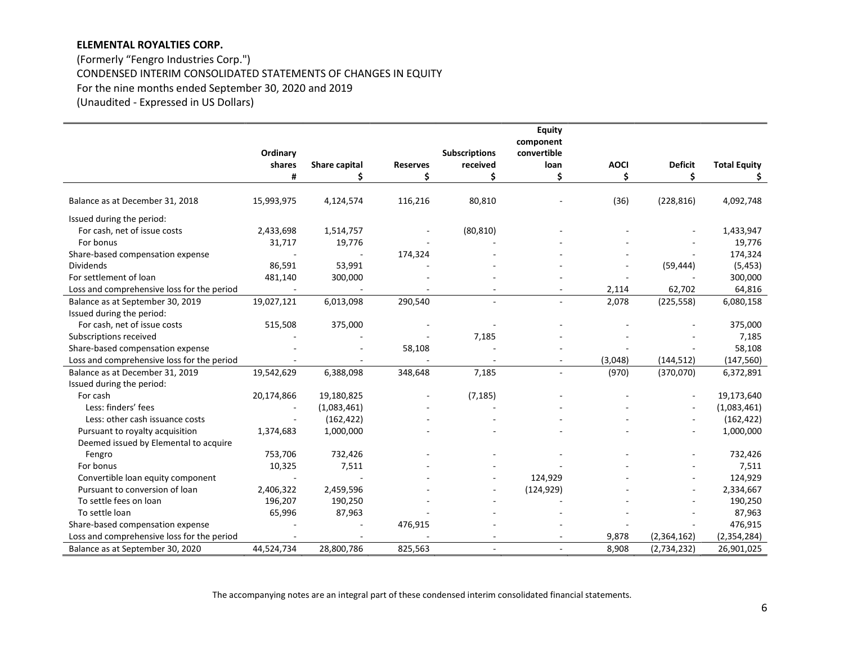(Formerly "Fengro Industries Corp.") CONDENSED INTERIM CONSOLIDATED STATEMENTS OF CHANGES IN EQUITY For the nine months ended September 30, 2020 and 2019 (Unaudited - Expressed in US Dollars)

|                                            |            |               |                 |                      | <b>Equity</b> |             |                |                     |
|--------------------------------------------|------------|---------------|-----------------|----------------------|---------------|-------------|----------------|---------------------|
|                                            |            |               |                 |                      | component     |             |                |                     |
|                                            | Ordinary   |               |                 | <b>Subscriptions</b> | convertible   |             |                |                     |
|                                            | shares     | Share capital | <b>Reserves</b> | received             | loan          | <b>AOCI</b> | <b>Deficit</b> | <b>Total Equity</b> |
|                                            | #          | Ś.            | Ś               | \$                   | \$            | \$          | \$             | \$                  |
| Balance as at December 31, 2018            | 15,993,975 | 4,124,574     | 116,216         | 80,810               |               | (36)        | (228, 816)     | 4,092,748           |
| Issued during the period:                  |            |               |                 |                      |               |             |                |                     |
| For cash, net of issue costs               | 2,433,698  | 1,514,757     |                 | (80, 810)            |               |             |                | 1,433,947           |
| For bonus                                  | 31,717     | 19,776        |                 |                      |               |             |                | 19,776              |
| Share-based compensation expense           |            |               | 174,324         |                      |               |             |                | 174,324             |
| <b>Dividends</b>                           | 86,591     | 53,991        |                 |                      |               |             | (59, 444)      | (5, 453)            |
| For settlement of loan                     | 481,140    | 300,000       |                 |                      |               |             |                | 300,000             |
| Loss and comprehensive loss for the period |            |               |                 |                      |               | 2,114       | 62,702         | 64,816              |
| Balance as at September 30, 2019           | 19,027,121 | 6,013,098     | 290,540         | $\sim$               | $\sim$        | 2,078       | (225, 558)     | 6,080,158           |
| Issued during the period:                  |            |               |                 |                      |               |             |                |                     |
| For cash, net of issue costs               | 515,508    | 375,000       |                 |                      |               |             |                | 375,000             |
| Subscriptions received                     |            |               |                 | 7,185                |               |             |                | 7,185               |
| Share-based compensation expense           |            |               | 58,108          |                      |               |             |                | 58,108              |
| Loss and comprehensive loss for the period |            |               |                 |                      |               | (3,048)     | (144, 512)     | (147, 560)          |
| Balance as at December 31, 2019            | 19,542,629 | 6,388,098     | 348,648         | 7,185                |               | (970)       | (370,070)      | 6,372,891           |
| Issued during the period:                  |            |               |                 |                      |               |             |                |                     |
| For cash                                   | 20,174,866 | 19,180,825    |                 | (7, 185)             |               |             |                | 19,173,640          |
| Less: finders' fees                        |            | (1,083,461)   |                 |                      |               |             |                | (1,083,461)         |
| Less: other cash issuance costs            |            | (162, 422)    |                 |                      |               |             |                | (162, 422)          |
| Pursuant to royalty acquisition            | 1,374,683  | 1,000,000     |                 |                      |               |             |                | 1,000,000           |
| Deemed issued by Elemental to acquire      |            |               |                 |                      |               |             |                |                     |
| Fengro                                     | 753,706    | 732,426       |                 |                      |               |             |                | 732,426             |
| For bonus                                  | 10,325     | 7,511         |                 |                      |               |             |                | 7,511               |
| Convertible loan equity component          |            |               |                 |                      | 124,929       |             |                | 124,929             |
| Pursuant to conversion of loan             | 2,406,322  | 2,459,596     |                 |                      | (124, 929)    |             |                | 2,334,667           |
| To settle fees on loan                     | 196,207    | 190,250       |                 |                      |               |             |                | 190,250             |
| To settle loan                             | 65,996     | 87,963        |                 |                      |               |             |                | 87,963              |
| Share-based compensation expense           |            |               | 476,915         |                      |               |             |                | 476,915             |
| Loss and comprehensive loss for the period |            |               |                 |                      |               | 9,878       | (2,364,162)    | (2, 354, 284)       |
| Balance as at September 30, 2020           | 44,524,734 | 28,800,786    | 825,563         |                      |               | 8,908       | (2,734,232)    | 26,901,025          |

The accompanying notes are an integral part of these condensed interim consolidated financial statements.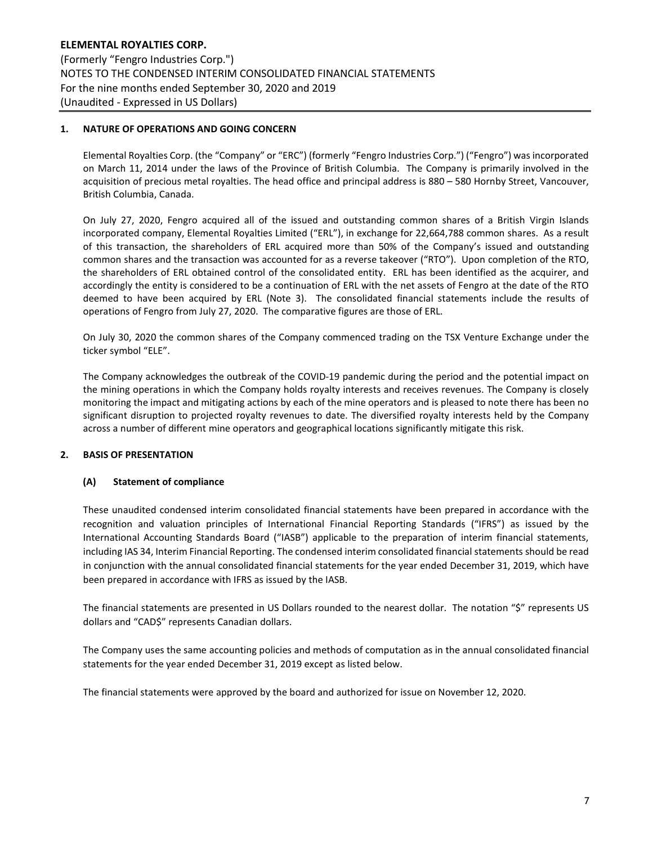## 1. NATURE OF OPERATIONS AND GOING CONCERN

Elemental Royalties Corp. (the "Company" or "ERC") (formerly "Fengro Industries Corp.") ("Fengro") was incorporated on March 11, 2014 under the laws of the Province of British Columbia. The Company is primarily involved in the acquisition of precious metal royalties. The head office and principal address is 880 – 580 Hornby Street, Vancouver, British Columbia, Canada.

On July 27, 2020, Fengro acquired all of the issued and outstanding common shares of a British Virgin Islands incorporated company, Elemental Royalties Limited ("ERL"), in exchange for 22,664,788 common shares. As a result of this transaction, the shareholders of ERL acquired more than 50% of the Company's issued and outstanding common shares and the transaction was accounted for as a reverse takeover ("RTO"). Upon completion of the RTO, the shareholders of ERL obtained control of the consolidated entity. ERL has been identified as the acquirer, and accordingly the entity is considered to be a continuation of ERL with the net assets of Fengro at the date of the RTO deemed to have been acquired by ERL (Note 3). The consolidated financial statements include the results of operations of Fengro from July 27, 2020. The comparative figures are those of ERL.

On July 30, 2020 the common shares of the Company commenced trading on the TSX Venture Exchange under the ticker symbol "ELE".

The Company acknowledges the outbreak of the COVID-19 pandemic during the period and the potential impact on the mining operations in which the Company holds royalty interests and receives revenues. The Company is closely monitoring the impact and mitigating actions by each of the mine operators and is pleased to note there has been no significant disruption to projected royalty revenues to date. The diversified royalty interests held by the Company across a number of different mine operators and geographical locations significantly mitigate this risk.

## 2. BASIS OF PRESENTATION

#### (A) Statement of compliance

These unaudited condensed interim consolidated financial statements have been prepared in accordance with the recognition and valuation principles of International Financial Reporting Standards ("IFRS") as issued by the International Accounting Standards Board ("IASB") applicable to the preparation of interim financial statements, including IAS 34, Interim Financial Reporting. The condensed interim consolidated financial statements should be read in conjunction with the annual consolidated financial statements for the year ended December 31, 2019, which have been prepared in accordance with IFRS as issued by the IASB.

The financial statements are presented in US Dollars rounded to the nearest dollar. The notation "\$" represents US dollars and "CAD\$" represents Canadian dollars.

The Company uses the same accounting policies and methods of computation as in the annual consolidated financial statements for the year ended December 31, 2019 except as listed below.

The financial statements were approved by the board and authorized for issue on November 12, 2020.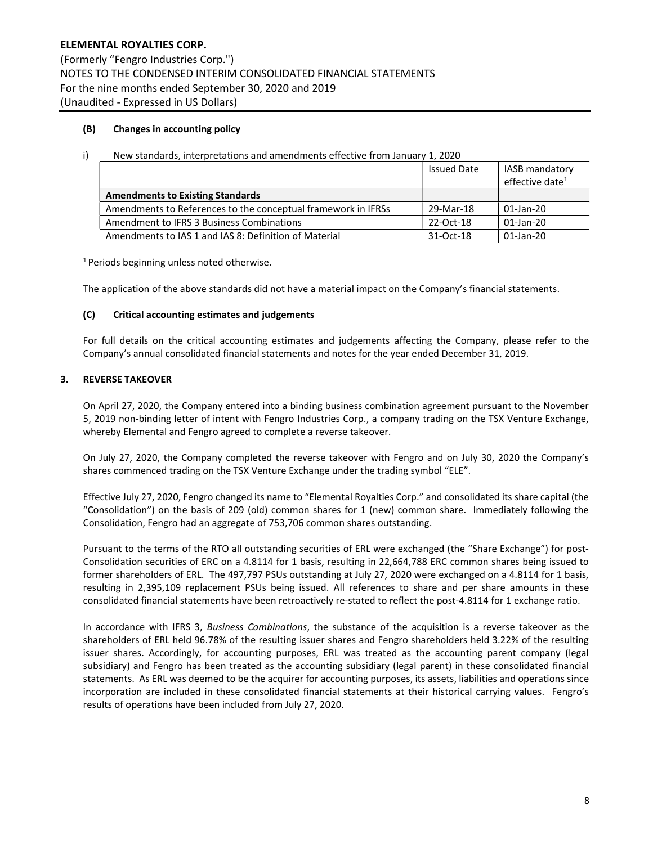## (B) Changes in accounting policy

|  | New standards, interpretations and amendments effective from January 1, 2020 |  |  |
|--|------------------------------------------------------------------------------|--|--|
|  |                                                                              |  |  |

|                                                               | <b>Issued Date</b> | <b>IASB mandatory</b><br>effective date <sup>1</sup> |
|---------------------------------------------------------------|--------------------|------------------------------------------------------|
| <b>Amendments to Existing Standards</b>                       |                    |                                                      |
| Amendments to References to the conceptual framework in IFRSs | 29-Mar-18          | $01$ -Jan-20                                         |
| Amendment to IFRS 3 Business Combinations                     | 22-Oct-18          | $01$ -Jan-20                                         |
| Amendments to IAS 1 and IAS 8: Definition of Material         | 31-Oct-18          | 01-Jan-20                                            |

<sup>1</sup> Periods beginning unless noted otherwise.

The application of the above standards did not have a material impact on the Company's financial statements.

#### (C) Critical accounting estimates and judgements

For full details on the critical accounting estimates and judgements affecting the Company, please refer to the Company's annual consolidated financial statements and notes for the year ended December 31, 2019.

## 3. REVERSE TAKEOVER

On April 27, 2020, the Company entered into a binding business combination agreement pursuant to the November 5, 2019 non-binding letter of intent with Fengro Industries Corp., a company trading on the TSX Venture Exchange, whereby Elemental and Fengro agreed to complete a reverse takeover.

On July 27, 2020, the Company completed the reverse takeover with Fengro and on July 30, 2020 the Company's shares commenced trading on the TSX Venture Exchange under the trading symbol "ELE".

Effective July 27, 2020, Fengro changed its name to "Elemental Royalties Corp." and consolidated its share capital (the "Consolidation") on the basis of 209 (old) common shares for 1 (new) common share. Immediately following the Consolidation, Fengro had an aggregate of 753,706 common shares outstanding.

Pursuant to the terms of the RTO all outstanding securities of ERL were exchanged (the "Share Exchange") for post-Consolidation securities of ERC on a 4.8114 for 1 basis, resulting in 22,664,788 ERC common shares being issued to former shareholders of ERL. The 497,797 PSUs outstanding at July 27, 2020 were exchanged on a 4.8114 for 1 basis, resulting in 2,395,109 replacement PSUs being issued. All references to share and per share amounts in these consolidated financial statements have been retroactively re-stated to reflect the post-4.8114 for 1 exchange ratio.

In accordance with IFRS 3, Business Combinations, the substance of the acquisition is a reverse takeover as the shareholders of ERL held 96.78% of the resulting issuer shares and Fengro shareholders held 3.22% of the resulting issuer shares. Accordingly, for accounting purposes, ERL was treated as the accounting parent company (legal subsidiary) and Fengro has been treated as the accounting subsidiary (legal parent) in these consolidated financial statements. As ERL was deemed to be the acquirer for accounting purposes, its assets, liabilities and operations since incorporation are included in these consolidated financial statements at their historical carrying values. Fengro's results of operations have been included from July 27, 2020.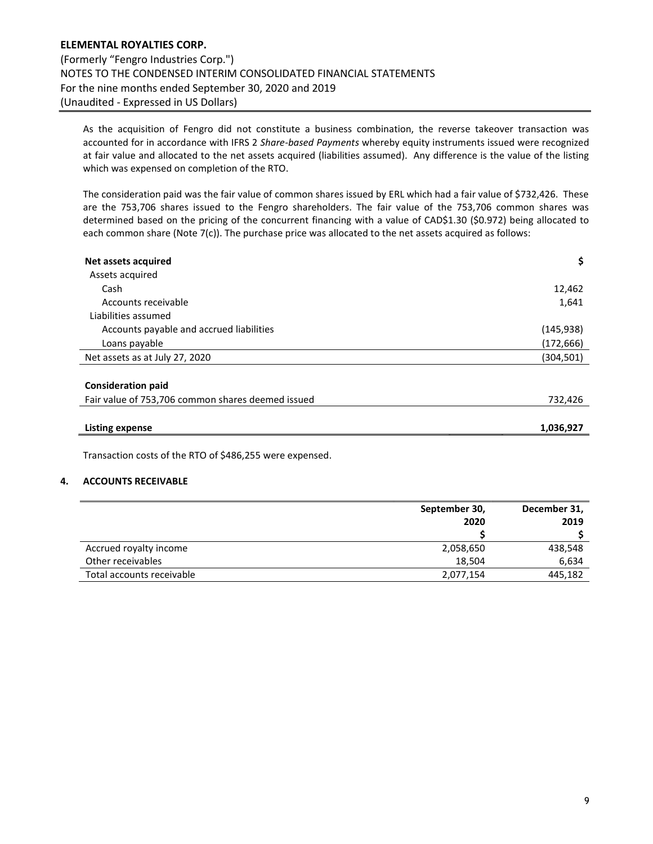As the acquisition of Fengro did not constitute a business combination, the reverse takeover transaction was accounted for in accordance with IFRS 2 Share-based Payments whereby equity instruments issued were recognized at fair value and allocated to the net assets acquired (liabilities assumed). Any difference is the value of the listing which was expensed on completion of the RTO.

The consideration paid was the fair value of common shares issued by ERL which had a fair value of \$732,426. These are the 753,706 shares issued to the Fengro shareholders. The fair value of the 753,706 common shares was determined based on the pricing of the concurrent financing with a value of CAD\$1.30 (\$0.972) being allocated to each common share (Note 7(c)). The purchase price was allocated to the net assets acquired as follows:

| \$         |
|------------|
|            |
| 12,462     |
| 1,641      |
|            |
| (145, 938) |
| (172, 666) |
| (304,501)  |
|            |
|            |
| 732,426    |
| 1,036,927  |
|            |

Transaction costs of the RTO of \$486,255 were expensed.

## 4. ACCOUNTS RECEIVABLE

|                           | September 30, | December 31, |
|---------------------------|---------------|--------------|
|                           | 2020          | 2019         |
|                           |               |              |
| Accrued royalty income    | 2,058,650     | 438,548      |
| Other receivables         | 18.504        | 6.634        |
| Total accounts receivable | 2,077,154     | 445,182      |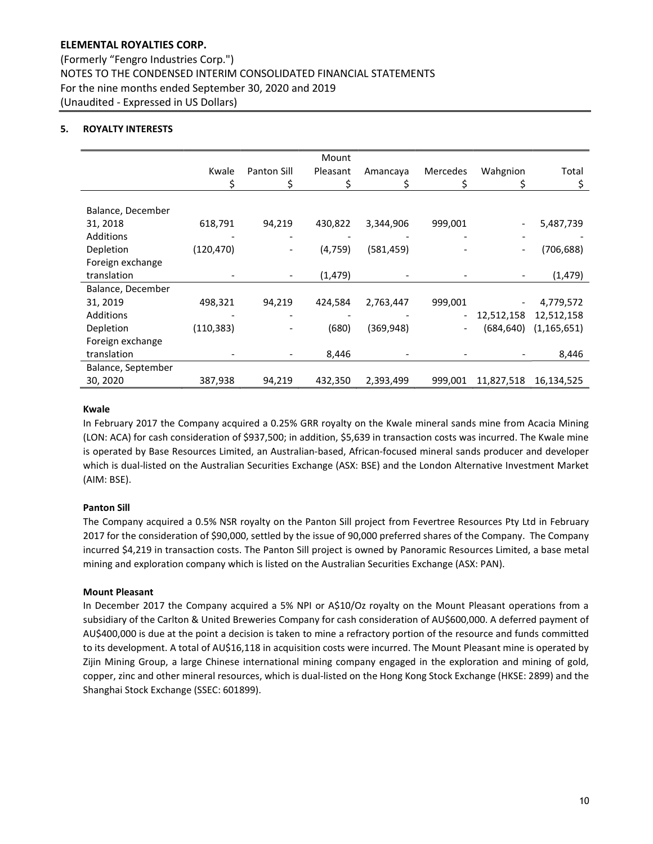(Formerly "Fengro Industries Corp.") NOTES TO THE CONDENSED INTERIM CONSOLIDATED FINANCIAL STATEMENTS For the nine months ended September 30, 2020 and 2019 (Unaudited - Expressed in US Dollars)

## 5. ROYALTY INTERESTS

|                    |            |                          | Mount    |            |                          |            |               |
|--------------------|------------|--------------------------|----------|------------|--------------------------|------------|---------------|
|                    | Kwale      | <b>Panton Sill</b>       | Pleasant | Amancaya   | Mercedes                 | Wahgnion   | Total         |
|                    | \$         | \$                       | Ś        |            |                          |            | \$            |
|                    |            |                          |          |            |                          |            |               |
| Balance, December  |            |                          |          |            |                          |            |               |
| 31, 2018           | 618,791    | 94,219                   | 430,822  | 3,344,906  | 999,001                  |            | 5,487,739     |
| Additions          |            |                          |          |            |                          |            |               |
| Depletion          | (120, 470) |                          | (4, 759) | (581,459)  |                          |            | (706, 688)    |
| Foreign exchange   |            |                          |          |            |                          |            |               |
| translation        |            | $\overline{\phantom{a}}$ | (1, 479) |            |                          |            | (1, 479)      |
| Balance, December  |            |                          |          |            |                          |            |               |
| 31, 2019           | 498,321    | 94,219                   | 424,584  | 2,763,447  | 999,001                  |            | 4,779,572     |
| Additions          |            |                          |          |            | $\overline{\phantom{a}}$ | 12,512,158 | 12,512,158    |
| Depletion          | (110, 383) |                          | (680)    | (369, 948) | $\overline{\phantom{a}}$ | (684,640)  | (1, 165, 651) |
| Foreign exchange   |            |                          |          |            |                          |            |               |
| translation        |            |                          | 8,446    |            |                          |            | 8,446         |
| Balance, September |            |                          |          |            |                          |            |               |
| 30, 2020           | 387,938    | 94,219                   | 432,350  | 2,393,499  | 999,001                  | 11,827,518 | 16,134,525    |

#### Kwale

In February 2017 the Company acquired a 0.25% GRR royalty on the Kwale mineral sands mine from Acacia Mining (LON: ACA) for cash consideration of \$937,500; in addition, \$5,639 in transaction costs was incurred. The Kwale mine is operated by Base Resources Limited, an Australian-based, African-focused mineral sands producer and developer which is dual-listed on the Australian Securities Exchange (ASX: BSE) and the London Alternative Investment Market (AIM: BSE).

## Panton Sill

The Company acquired a 0.5% NSR royalty on the Panton Sill project from Fevertree Resources Pty Ltd in February 2017 for the consideration of \$90,000, settled by the issue of 90,000 preferred shares of the Company. The Company incurred \$4,219 in transaction costs. The Panton Sill project is owned by Panoramic Resources Limited, a base metal mining and exploration company which is listed on the Australian Securities Exchange (ASX: PAN).

## Mount Pleasant

In December 2017 the Company acquired a 5% NPI or A\$10/Oz royalty on the Mount Pleasant operations from a subsidiary of the Carlton & United Breweries Company for cash consideration of AU\$600,000. A deferred payment of AU\$400,000 is due at the point a decision is taken to mine a refractory portion of the resource and funds committed to its development. A total of AU\$16,118 in acquisition costs were incurred. The Mount Pleasant mine is operated by Zijin Mining Group, a large Chinese international mining company engaged in the exploration and mining of gold, copper, zinc and other mineral resources, which is dual-listed on the Hong Kong Stock Exchange (HKSE: 2899) and the Shanghai Stock Exchange (SSEC: 601899).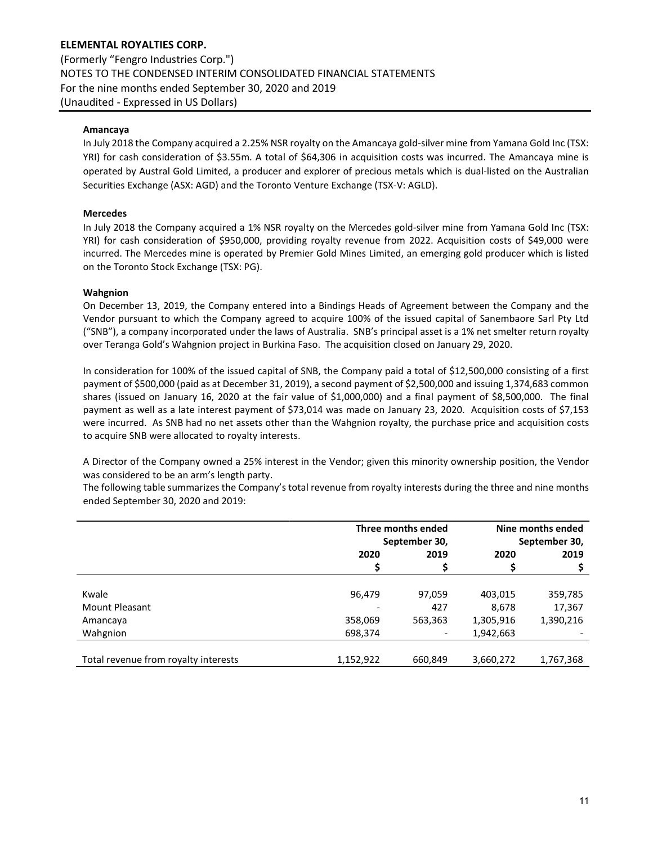ELEMENTAL ROYALTIES CORP. (Formerly "Fengro Industries Corp.") NOTES TO THE CONDENSED INTERIM CONSOLIDATED FINANCIAL STATEMENTS For the nine months ended September 30, 2020 and 2019 (Unaudited - Expressed in US Dollars)

### Amancaya

In July 2018 the Company acquired a 2.25% NSR royalty on the Amancaya gold-silver mine from Yamana Gold Inc (TSX: YRI) for cash consideration of \$3.55m. A total of \$64,306 in acquisition costs was incurred. The Amancaya mine is operated by Austral Gold Limited, a producer and explorer of precious metals which is dual-listed on the Australian Securities Exchange (ASX: AGD) and the Toronto Venture Exchange (TSX-V: AGLD).

#### Mercedes

In July 2018 the Company acquired a 1% NSR royalty on the Mercedes gold-silver mine from Yamana Gold Inc (TSX: YRI) for cash consideration of \$950,000, providing royalty revenue from 2022. Acquisition costs of \$49,000 were incurred. The Mercedes mine is operated by Premier Gold Mines Limited, an emerging gold producer which is listed on the Toronto Stock Exchange (TSX: PG).

#### Wahgnion

On December 13, 2019, the Company entered into a Bindings Heads of Agreement between the Company and the Vendor pursuant to which the Company agreed to acquire 100% of the issued capital of Sanembaore Sarl Pty Ltd ("SNB"), a company incorporated under the laws of Australia. SNB's principal asset is a 1% net smelter return royalty over Teranga Gold's Wahgnion project in Burkina Faso. The acquisition closed on January 29, 2020.

In consideration for 100% of the issued capital of SNB, the Company paid a total of \$12,500,000 consisting of a first payment of \$500,000 (paid as at December 31, 2019), a second payment of \$2,500,000 and issuing 1,374,683 common shares (issued on January 16, 2020 at the fair value of \$1,000,000) and a final payment of \$8,500,000. The final payment as well as a late interest payment of \$73,014 was made on January 23, 2020. Acquisition costs of \$7,153 were incurred. As SNB had no net assets other than the Wahgnion royalty, the purchase price and acquisition costs to acquire SNB were allocated to royalty interests.

A Director of the Company owned a 25% interest in the Vendor; given this minority ownership position, the Vendor was considered to be an arm's length party.

The following table summarizes the Company's total revenue from royalty interests during the three and nine months ended September 30, 2020 and 2019:

|                                      | Three months ended |               | Nine months ended |           |
|--------------------------------------|--------------------|---------------|-------------------|-----------|
|                                      |                    | September 30, | September 30,     |           |
|                                      | 2020               | 2019          | 2020              | 2019      |
|                                      |                    |               |                   |           |
|                                      |                    |               |                   |           |
| Kwale                                | 96,479             | 97,059        | 403,015           | 359,785   |
| <b>Mount Pleasant</b>                |                    | 427           | 8,678             | 17,367    |
| Amancaya                             | 358,069            | 563,363       | 1,305,916         | 1,390,216 |
| Wahgnion                             | 698,374            |               | 1,942,663         |           |
|                                      |                    |               |                   |           |
| Total revenue from royalty interests | 1,152,922          | 660,849       | 3,660,272         | 1,767,368 |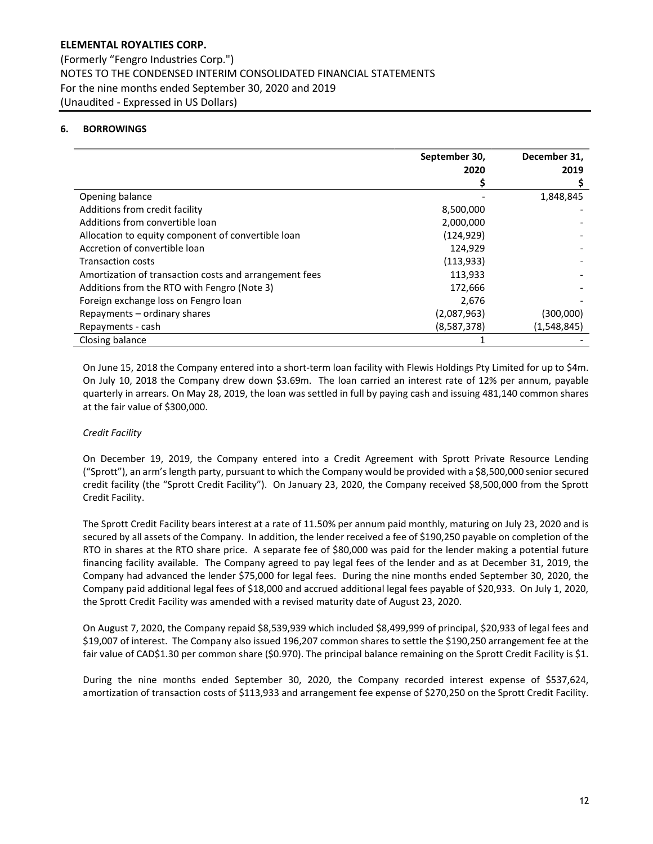## 6. BORROWINGS

|                                                        | September 30, | December 31, |
|--------------------------------------------------------|---------------|--------------|
|                                                        | 2020          | 2019         |
|                                                        |               |              |
| Opening balance                                        |               | 1,848,845    |
| Additions from credit facility                         | 8,500,000     |              |
| Additions from convertible loan                        | 2,000,000     |              |
| Allocation to equity component of convertible loan     | (124, 929)    |              |
| Accretion of convertible loan                          | 124,929       |              |
| <b>Transaction costs</b>                               | (113, 933)    |              |
| Amortization of transaction costs and arrangement fees | 113,933       |              |
| Additions from the RTO with Fengro (Note 3)            | 172,666       |              |
| Foreign exchange loss on Fengro loan                   | 2,676         |              |
| Repayments - ordinary shares                           | (2,087,963)   | (300,000)    |
| Repayments - cash                                      | (8,587,378)   | (1,548,845)  |
| Closing balance                                        |               |              |

On June 15, 2018 the Company entered into a short-term loan facility with Flewis Holdings Pty Limited for up to \$4m. On July 10, 2018 the Company drew down \$3.69m. The loan carried an interest rate of 12% per annum, payable quarterly in arrears. On May 28, 2019, the loan was settled in full by paying cash and issuing 481,140 common shares at the fair value of \$300,000.

## Credit Facility

On December 19, 2019, the Company entered into a Credit Agreement with Sprott Private Resource Lending ("Sprott"), an arm's length party, pursuant to which the Company would be provided with a \$8,500,000 senior secured credit facility (the "Sprott Credit Facility"). On January 23, 2020, the Company received \$8,500,000 from the Sprott Credit Facility.

The Sprott Credit Facility bears interest at a rate of 11.50% per annum paid monthly, maturing on July 23, 2020 and is secured by all assets of the Company. In addition, the lender received a fee of \$190,250 payable on completion of the RTO in shares at the RTO share price. A separate fee of \$80,000 was paid for the lender making a potential future financing facility available. The Company agreed to pay legal fees of the lender and as at December 31, 2019, the Company had advanced the lender \$75,000 for legal fees. During the nine months ended September 30, 2020, the Company paid additional legal fees of \$18,000 and accrued additional legal fees payable of \$20,933. On July 1, 2020, the Sprott Credit Facility was amended with a revised maturity date of August 23, 2020.

On August 7, 2020, the Company repaid \$8,539,939 which included \$8,499,999 of principal, \$20,933 of legal fees and \$19,007 of interest. The Company also issued 196,207 common shares to settle the \$190,250 arrangement fee at the fair value of CAD\$1.30 per common share (\$0.970). The principal balance remaining on the Sprott Credit Facility is \$1.

During the nine months ended September 30, 2020, the Company recorded interest expense of \$537,624, amortization of transaction costs of \$113,933 and arrangement fee expense of \$270,250 on the Sprott Credit Facility.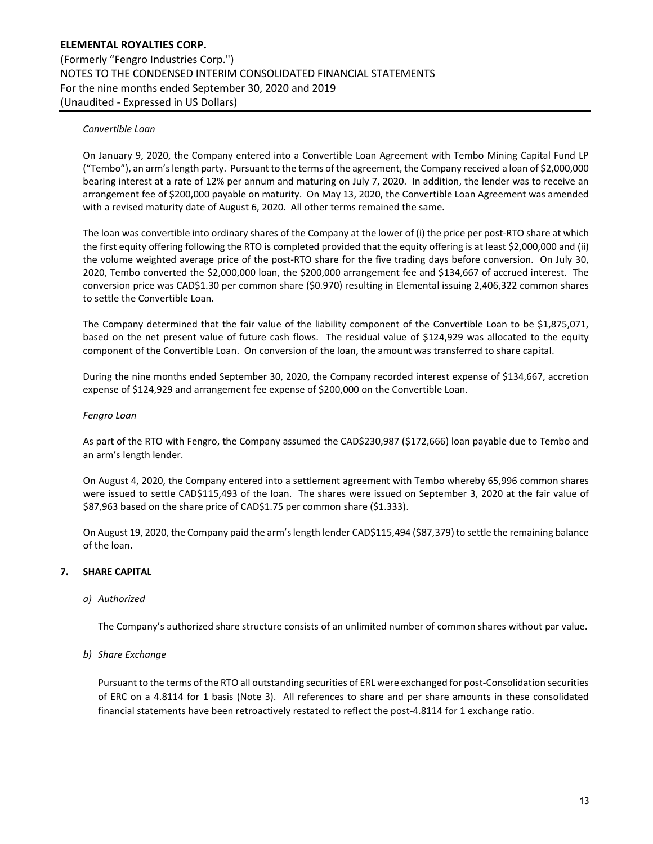### Convertible Loan

On January 9, 2020, the Company entered into a Convertible Loan Agreement with Tembo Mining Capital Fund LP ("Tembo"), an arm's length party. Pursuant to the terms of the agreement, the Company received a loan of \$2,000,000 bearing interest at a rate of 12% per annum and maturing on July 7, 2020. In addition, the lender was to receive an arrangement fee of \$200,000 payable on maturity. On May 13, 2020, the Convertible Loan Agreement was amended with a revised maturity date of August 6, 2020. All other terms remained the same.

The loan was convertible into ordinary shares of the Company at the lower of (i) the price per post-RTO share at which the first equity offering following the RTO is completed provided that the equity offering is at least \$2,000,000 and (ii) the volume weighted average price of the post-RTO share for the five trading days before conversion. On July 30, 2020, Tembo converted the \$2,000,000 loan, the \$200,000 arrangement fee and \$134,667 of accrued interest. The conversion price was CAD\$1.30 per common share (\$0.970) resulting in Elemental issuing 2,406,322 common shares to settle the Convertible Loan.

The Company determined that the fair value of the liability component of the Convertible Loan to be \$1,875,071, based on the net present value of future cash flows. The residual value of \$124,929 was allocated to the equity component of the Convertible Loan. On conversion of the loan, the amount was transferred to share capital.

During the nine months ended September 30, 2020, the Company recorded interest expense of \$134,667, accretion expense of \$124,929 and arrangement fee expense of \$200,000 on the Convertible Loan.

#### Fengro Loan

As part of the RTO with Fengro, the Company assumed the CAD\$230,987 (\$172,666) loan payable due to Tembo and an arm's length lender.

On August 4, 2020, the Company entered into a settlement agreement with Tembo whereby 65,996 common shares were issued to settle CAD\$115,493 of the loan. The shares were issued on September 3, 2020 at the fair value of \$87,963 based on the share price of CAD\$1.75 per common share (\$1.333).

On August 19, 2020, the Company paid the arm's length lender CAD\$115,494 (\$87,379) to settle the remaining balance of the loan.

#### 7. SHARE CAPITAL

#### a) Authorized

The Company's authorized share structure consists of an unlimited number of common shares without par value.

b) Share Exchange

Pursuant to the terms of the RTO all outstanding securities of ERL were exchanged for post-Consolidation securities of ERC on a 4.8114 for 1 basis (Note 3). All references to share and per share amounts in these consolidated financial statements have been retroactively restated to reflect the post-4.8114 for 1 exchange ratio.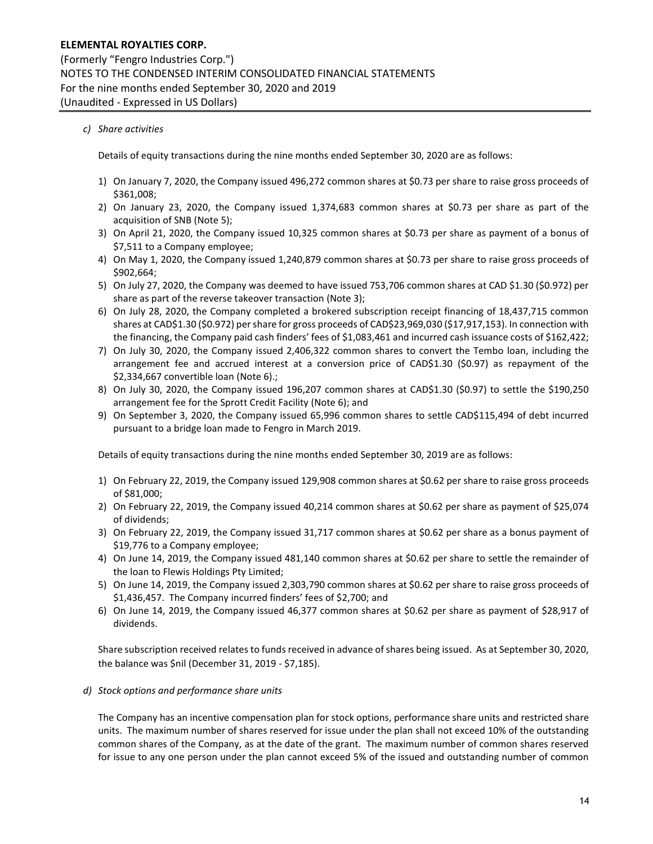## c) Share activities

Details of equity transactions during the nine months ended September 30, 2020 are as follows:

- 1) On January 7, 2020, the Company issued 496,272 common shares at \$0.73 per share to raise gross proceeds of \$361,008;
- 2) On January 23, 2020, the Company issued 1,374,683 common shares at \$0.73 per share as part of the acquisition of SNB (Note 5);
- 3) On April 21, 2020, the Company issued 10,325 common shares at \$0.73 per share as payment of a bonus of \$7,511 to a Company employee;
- 4) On May 1, 2020, the Company issued 1,240,879 common shares at \$0.73 per share to raise gross proceeds of \$902,664;
- 5) On July 27, 2020, the Company was deemed to have issued 753,706 common shares at CAD \$1.30 (\$0.972) per share as part of the reverse takeover transaction (Note 3);
- 6) On July 28, 2020, the Company completed a brokered subscription receipt financing of 18,437,715 common shares at CAD\$1.30 (\$0.972) per share for gross proceeds of CAD\$23,969,030 (\$17,917,153). In connection with the financing, the Company paid cash finders' fees of \$1,083,461 and incurred cash issuance costs of \$162,422;
- 7) On July 30, 2020, the Company issued 2,406,322 common shares to convert the Tembo loan, including the arrangement fee and accrued interest at a conversion price of CAD\$1.30 (\$0.97) as repayment of the \$2,334,667 convertible loan (Note 6).;
- 8) On July 30, 2020, the Company issued 196,207 common shares at CAD\$1.30 (\$0.97) to settle the \$190,250 arrangement fee for the Sprott Credit Facility (Note 6); and
- 9) On September 3, 2020, the Company issued 65,996 common shares to settle CAD\$115,494 of debt incurred pursuant to a bridge loan made to Fengro in March 2019.

Details of equity transactions during the nine months ended September 30, 2019 are as follows:

- 1) On February 22, 2019, the Company issued 129,908 common shares at \$0.62 per share to raise gross proceeds of \$81,000;
- 2) On February 22, 2019, the Company issued 40,214 common shares at \$0.62 per share as payment of \$25,074 of dividends;
- 3) On February 22, 2019, the Company issued 31,717 common shares at \$0.62 per share as a bonus payment of \$19,776 to a Company employee;
- 4) On June 14, 2019, the Company issued 481,140 common shares at \$0.62 per share to settle the remainder of the loan to Flewis Holdings Pty Limited;
- 5) On June 14, 2019, the Company issued 2,303,790 common shares at \$0.62 per share to raise gross proceeds of \$1,436,457. The Company incurred finders' fees of \$2,700; and
- 6) On June 14, 2019, the Company issued 46,377 common shares at \$0.62 per share as payment of \$28,917 of dividends.

Share subscription received relates to funds received in advance of shares being issued. As at September 30, 2020, the balance was \$nil (December 31, 2019 - \$7,185).

#### d) Stock options and performance share units

The Company has an incentive compensation plan for stock options, performance share units and restricted share units. The maximum number of shares reserved for issue under the plan shall not exceed 10% of the outstanding common shares of the Company, as at the date of the grant. The maximum number of common shares reserved for issue to any one person under the plan cannot exceed 5% of the issued and outstanding number of common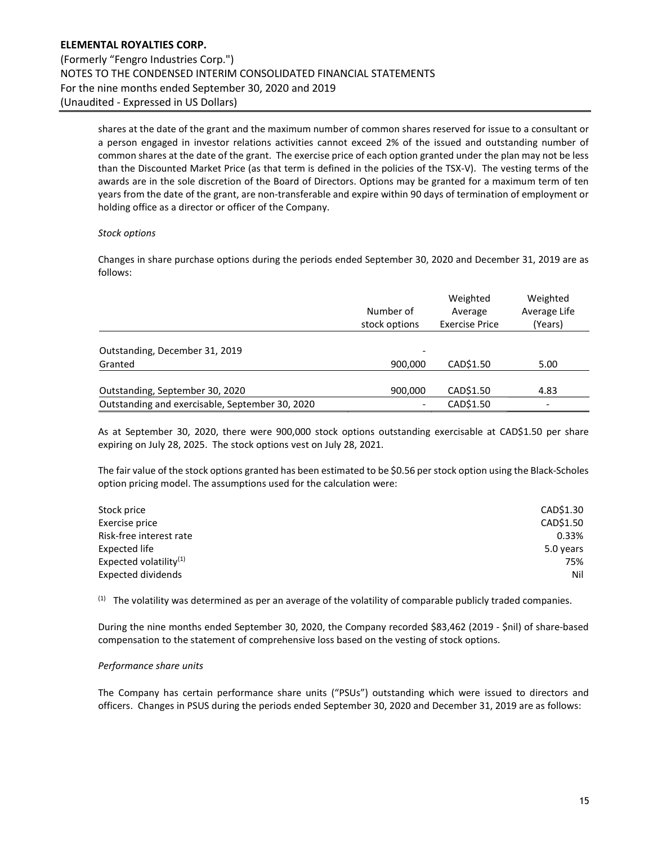shares at the date of the grant and the maximum number of common shares reserved for issue to a consultant or a person engaged in investor relations activities cannot exceed 2% of the issued and outstanding number of common shares at the date of the grant. The exercise price of each option granted under the plan may not be less than the Discounted Market Price (as that term is defined in the policies of the TSX-V). The vesting terms of the awards are in the sole discretion of the Board of Directors. Options may be granted for a maximum term of ten years from the date of the grant, are non-transferable and expire within 90 days of termination of employment or holding office as a director or officer of the Company.

#### Stock options

Changes in share purchase options during the periods ended September 30, 2020 and December 31, 2019 are as follows:

|                                                 | Number of<br>stock options | Weighted<br>Average<br><b>Exercise Price</b> | Weighted<br>Average Life<br>(Years) |
|-------------------------------------------------|----------------------------|----------------------------------------------|-------------------------------------|
| Outstanding, December 31, 2019                  | -                          |                                              |                                     |
| Granted                                         | 900,000                    | CAD\$1.50                                    | 5.00                                |
| Outstanding, September 30, 2020                 | 900,000                    | CAD\$1.50                                    | 4.83                                |
| Outstanding and exercisable, September 30, 2020 | -                          | CAD\$1.50                                    | $\overline{\phantom{0}}$            |

As at September 30, 2020, there were 900,000 stock options outstanding exercisable at CAD\$1.50 per share expiring on July 28, 2025. The stock options vest on July 28, 2021.

The fair value of the stock options granted has been estimated to be \$0.56 per stock option using the Black-Scholes option pricing model. The assumptions used for the calculation were:

| Stock price               | CAD\$1.30 |
|---------------------------|-----------|
| Exercise price            | CAD\$1.50 |
| Risk-free interest rate   | 0.33%     |
| Expected life             | 5.0 years |
| Expected volatility $(1)$ | 75%       |
| Expected dividends        | Nil       |

 $<sup>(1)</sup>$  The volatility was determined as per an average of the volatility of comparable publicly traded companies.</sup>

During the nine months ended September 30, 2020, the Company recorded \$83,462 (2019 - \$nil) of share-based compensation to the statement of comprehensive loss based on the vesting of stock options.

#### Performance share units

The Company has certain performance share units ("PSUs") outstanding which were issued to directors and officers. Changes in PSUS during the periods ended September 30, 2020 and December 31, 2019 are as follows: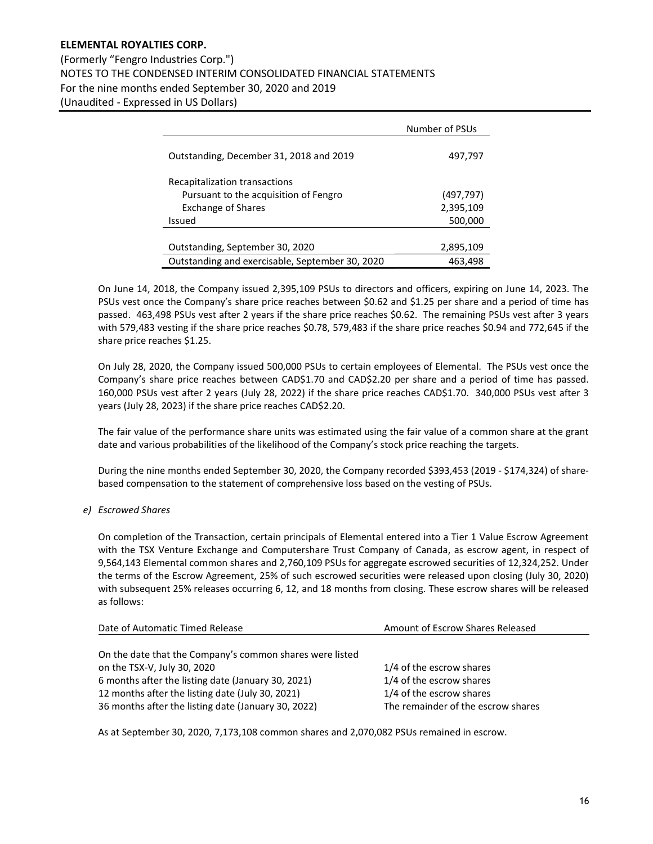(Formerly "Fengro Industries Corp.") NOTES TO THE CONDENSED INTERIM CONSOLIDATED FINANCIAL STATEMENTS For the nine months ended September 30, 2020 and 2019 (Unaudited - Expressed in US Dollars)

|                                                 | Number of PSUs |
|-------------------------------------------------|----------------|
| Outstanding, December 31, 2018 and 2019         | 497,797        |
| Recapitalization transactions                   |                |
| Pursuant to the acquisition of Fengro           | (497,797)      |
| <b>Exchange of Shares</b>                       | 2,395,109      |
| Issued                                          | 500,000        |
|                                                 |                |
| Outstanding, September 30, 2020                 | 2,895,109      |
| Outstanding and exercisable, September 30, 2020 | 463.498        |

On June 14, 2018, the Company issued 2,395,109 PSUs to directors and officers, expiring on June 14, 2023. The PSUs vest once the Company's share price reaches between \$0.62 and \$1.25 per share and a period of time has passed. 463,498 PSUs vest after 2 years if the share price reaches \$0.62. The remaining PSUs vest after 3 years with 579,483 vesting if the share price reaches \$0.78, 579,483 if the share price reaches \$0.94 and 772,645 if the share price reaches \$1.25.

On July 28, 2020, the Company issued 500,000 PSUs to certain employees of Elemental. The PSUs vest once the Company's share price reaches between CAD\$1.70 and CAD\$2.20 per share and a period of time has passed. 160,000 PSUs vest after 2 years (July 28, 2022) if the share price reaches CAD\$1.70. 340,000 PSUs vest after 3 years (July 28, 2023) if the share price reaches CAD\$2.20.

The fair value of the performance share units was estimated using the fair value of a common share at the grant date and various probabilities of the likelihood of the Company's stock price reaching the targets.

During the nine months ended September 30, 2020, the Company recorded \$393,453 (2019 - \$174,324) of sharebased compensation to the statement of comprehensive loss based on the vesting of PSUs.

## e) Escrowed Shares

On completion of the Transaction, certain principals of Elemental entered into a Tier 1 Value Escrow Agreement with the TSX Venture Exchange and Computershare Trust Company of Canada, as escrow agent, in respect of 9,564,143 Elemental common shares and 2,760,109 PSUs for aggregate escrowed securities of 12,324,252. Under the terms of the Escrow Agreement, 25% of such escrowed securities were released upon closing (July 30, 2020) with subsequent 25% releases occurring 6, 12, and 18 months from closing. These escrow shares will be released as follows:

| Date of Automatic Timed Release                          | Amount of Escrow Shares Released   |  |
|----------------------------------------------------------|------------------------------------|--|
|                                                          |                                    |  |
| On the date that the Company's common shares were listed |                                    |  |
| on the TSX-V, July 30, 2020                              | 1/4 of the escrow shares           |  |
| 6 months after the listing date (January 30, 2021)       | 1/4 of the escrow shares           |  |
| 12 months after the listing date (July 30, 2021)         | 1/4 of the escrow shares           |  |
| 36 months after the listing date (January 30, 2022)      | The remainder of the escrow shares |  |

As at September 30, 2020, 7,173,108 common shares and 2,070,082 PSUs remained in escrow.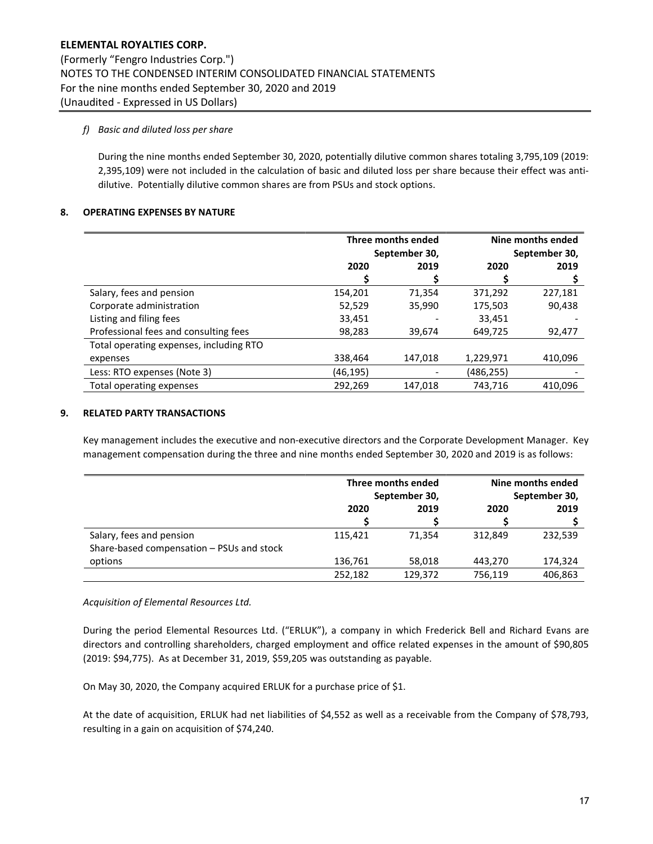## f) Basic and diluted loss per share

During the nine months ended September 30, 2020, potentially dilutive common shares totaling 3,795,109 (2019: 2,395,109) were not included in the calculation of basic and diluted loss per share because their effect was antidilutive. Potentially dilutive common shares are from PSUs and stock options.

## 8. OPERATING EXPENSES BY NATURE

|                                         | Three months ended<br>September 30, |         | Nine months ended<br>September 30, |         |
|-----------------------------------------|-------------------------------------|---------|------------------------------------|---------|
|                                         | 2020                                | 2019    | 2020                               | 2019    |
|                                         |                                     |         |                                    |         |
| Salary, fees and pension                | 154,201                             | 71,354  | 371,292                            | 227,181 |
| Corporate administration                | 52,529                              | 35,990  | 175,503                            | 90,438  |
| Listing and filing fees                 | 33,451                              |         | 33,451                             |         |
| Professional fees and consulting fees   | 98,283                              | 39,674  | 649,725                            | 92,477  |
| Total operating expenses, including RTO |                                     |         |                                    |         |
| expenses                                | 338,464                             | 147,018 | 1,229,971                          | 410,096 |
| Less: RTO expenses (Note 3)             | (46,195)                            |         | (486,255)                          |         |
| Total operating expenses                | 292,269                             | 147,018 | 743,716                            | 410.096 |

#### 9. RELATED PARTY TRANSACTIONS

Key management includes the executive and non-executive directors and the Corporate Development Manager. Key management compensation during the three and nine months ended September 30, 2020 and 2019 is as follows:

|                                           | Three months ended<br>September 30, |         | Nine months ended<br>September 30, |         |
|-------------------------------------------|-------------------------------------|---------|------------------------------------|---------|
|                                           |                                     |         |                                    |         |
|                                           | 2020                                | 2019    | 2020                               | 2019    |
|                                           |                                     |         |                                    |         |
| Salary, fees and pension                  | 115,421                             | 71.354  | 312.849                            | 232.539 |
| Share-based compensation - PSUs and stock |                                     |         |                                    |         |
| options                                   | 136,761                             | 58,018  | 443.270                            | 174,324 |
|                                           | 252,182                             | 129,372 | 756,119                            | 406,863 |

#### Acquisition of Elemental Resources Ltd.

During the period Elemental Resources Ltd. ("ERLUK"), a company in which Frederick Bell and Richard Evans are directors and controlling shareholders, charged employment and office related expenses in the amount of \$90,805 (2019: \$94,775). As at December 31, 2019, \$59,205 was outstanding as payable.

On May 30, 2020, the Company acquired ERLUK for a purchase price of \$1.

At the date of acquisition, ERLUK had net liabilities of \$4,552 as well as a receivable from the Company of \$78,793, resulting in a gain on acquisition of \$74,240.